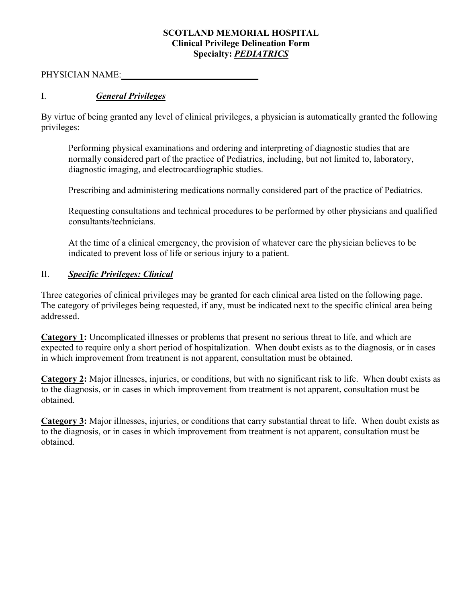## **SCOTLAND MEMORIAL HOSPITAL Clinical Privilege Delineation Form Specialty:** *PEDIATRICS*

PHYSICIAN NAME: **\_\_\_\_\_\_\_\_\_\_\_\_\_\_\_\_\_\_\_\_\_ \_\_\_\_\_\_\_\_**

## I. *General Privileges*

By virtue of being granted any level of clinical privileges, a physician is automatically granted the following privileges:

Performing physical examinations and ordering and interpreting of diagnostic studies that are normally considered part of the practice of Pediatrics, including, but not limited to, laboratory, diagnostic imaging, and electrocardiographic studies.

Prescribing and administering medications normally considered part of the practice of Pediatrics.

Requesting consultations and technical procedures to be performed by other physicians and qualified consultants/technicians.

At the time of a clinical emergency, the provision of whatever care the physician believes to be indicated to prevent loss of life or serious injury to a patient.

## II. *Specific Privileges: Clinical*

Three categories of clinical privileges may be granted for each clinical area listed on the following page. The category of privileges being requested, if any, must be indicated next to the specific clinical area being addressed.

**Category 1:** Uncomplicated illnesses or problems that present no serious threat to life, and which are expected to require only a short period of hospitalization. When doubt exists as to the diagnosis, or in cases in which improvement from treatment is not apparent, consultation must be obtained.

**Category 2:** Major illnesses, injuries, or conditions, but with no significant risk to life. When doubt exists as to the diagnosis, or in cases in which improvement from treatment is not apparent, consultation must be obtained.

**Category 3:** Major illnesses, injuries, or conditions that carry substantial threat to life. When doubt exists as to the diagnosis, or in cases in which improvement from treatment is not apparent, consultation must be obtained.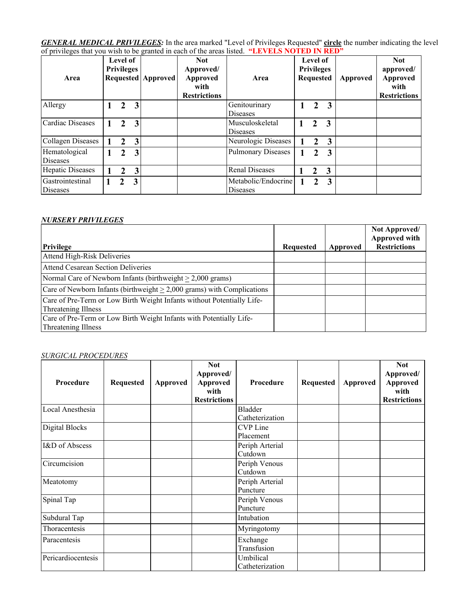*GENERAL MEDICAL PRIVILEGES:* In the area marked "Level of Privileges Requested" **circle** the number indicating the level of privileges that you wish to be granted in each of the areas listed. **"LEVELS NOTED IN RED"**

| Area                             | Level of<br><b>Privileges</b> |                |   | <b>Requested Approved</b> | <b>Not</b><br>Approved/<br><b>Approved</b><br>with<br><b>Restrictions</b> | Area                                   | Level of<br><b>Privileges</b><br><b>Requested</b> |                |                         | Approved | <b>Not</b><br>approved/<br><b>Approved</b><br>with<br><b>Restrictions</b> |
|----------------------------------|-------------------------------|----------------|---|---------------------------|---------------------------------------------------------------------------|----------------------------------------|---------------------------------------------------|----------------|-------------------------|----------|---------------------------------------------------------------------------|
| Allergy                          |                               | 2              | 3 |                           |                                                                           | Genitourinary<br><b>Diseases</b>       |                                                   | $\overline{2}$ | $\overline{3}$          |          |                                                                           |
| Cardiac Diseases                 |                               | 2              | 3 |                           |                                                                           | Musculoskeletal<br><b>Diseases</b>     |                                                   | $\mathbf{2}$   | $\overline{3}$          |          |                                                                           |
| <b>Collagen Diseases</b>         |                               | $\mathfrak{D}$ | 3 |                           |                                                                           | Neurologic Diseases                    |                                                   | $\overline{2}$ | 3                       |          |                                                                           |
| Hematological<br><b>Diseases</b> |                               | 2              | 3 |                           |                                                                           | <b>Pulmonary Diseases</b>              |                                                   | $\mathcal{L}$  | 3                       |          |                                                                           |
| Hepatic Diseases                 |                               | $\mathfrak{D}$ | 3 |                           |                                                                           | <b>Renal Diseases</b>                  |                                                   | $\mathbf{2}$   | $\overline{\mathbf{3}}$ |          |                                                                           |
| Gastrointestinal<br>Diseases     |                               | $\mathcal{L}$  | 3 |                           |                                                                           | Metabolic/Endocrine<br><b>Diseases</b> |                                                   | $\mathfrak{D}$ | 3                       |          |                                                                           |

### *NURSERY PRIVILEGES*

|                                                                                               |           |          | Not Approved/<br><b>Approved with</b> |
|-----------------------------------------------------------------------------------------------|-----------|----------|---------------------------------------|
| Privilege                                                                                     | Requested | Approved | <b>Restrictions</b>                   |
| Attend High-Risk Deliveries                                                                   |           |          |                                       |
| <b>Attend Cesarean Section Deliveries</b>                                                     |           |          |                                       |
| Normal Care of Newborn Infants (birthweight $> 2,000$ grams)                                  |           |          |                                       |
| Care of Newborn Infants (birthweight $\geq 2,000$ grams) with Complications                   |           |          |                                       |
| Care of Pre-Term or Low Birth Weight Infants without Potentially Life-<br>Threatening Illness |           |          |                                       |
| Care of Pre-Term or Low Birth Weight Infants with Potentially Life-<br>Threatening Illness    |           |          |                                       |

#### *SURGICAL PROCEDURES*

| Procedure          | <b>Requested</b> | Approved | <b>Not</b><br>Approved/<br>Approved<br>with<br><b>Restrictions</b> | Procedure       | <b>Requested</b> | <b>Approved</b> | <b>Not</b><br>Approved/<br><b>Approved</b><br>with<br><b>Restrictions</b> |
|--------------------|------------------|----------|--------------------------------------------------------------------|-----------------|------------------|-----------------|---------------------------------------------------------------------------|
| Local Anesthesia   |                  |          |                                                                    | Bladder         |                  |                 |                                                                           |
|                    |                  |          |                                                                    | Catheterization |                  |                 |                                                                           |
| Digital Blocks     |                  |          |                                                                    | CVP Line        |                  |                 |                                                                           |
|                    |                  |          |                                                                    | Placement       |                  |                 |                                                                           |
| I&D of Abscess     |                  |          |                                                                    | Periph Arterial |                  |                 |                                                                           |
|                    |                  |          |                                                                    | Cutdown         |                  |                 |                                                                           |
| Circumcision       |                  |          |                                                                    | Periph Venous   |                  |                 |                                                                           |
|                    |                  |          |                                                                    | Cutdown         |                  |                 |                                                                           |
| Meatotomy          |                  |          |                                                                    | Periph Arterial |                  |                 |                                                                           |
|                    |                  |          |                                                                    | Puncture        |                  |                 |                                                                           |
| Spinal Tap         |                  |          |                                                                    | Periph Venous   |                  |                 |                                                                           |
|                    |                  |          |                                                                    | Puncture        |                  |                 |                                                                           |
| Subdural Tap       |                  |          |                                                                    | Intubation      |                  |                 |                                                                           |
| Thoracentesis      |                  |          |                                                                    | Myringotomy     |                  |                 |                                                                           |
| Paracentesis       |                  |          |                                                                    | Exchange        |                  |                 |                                                                           |
|                    |                  |          |                                                                    | Transfusion     |                  |                 |                                                                           |
| Pericardiocentesis |                  |          |                                                                    | Umbilical       |                  |                 |                                                                           |
|                    |                  |          |                                                                    | Catheterization |                  |                 |                                                                           |